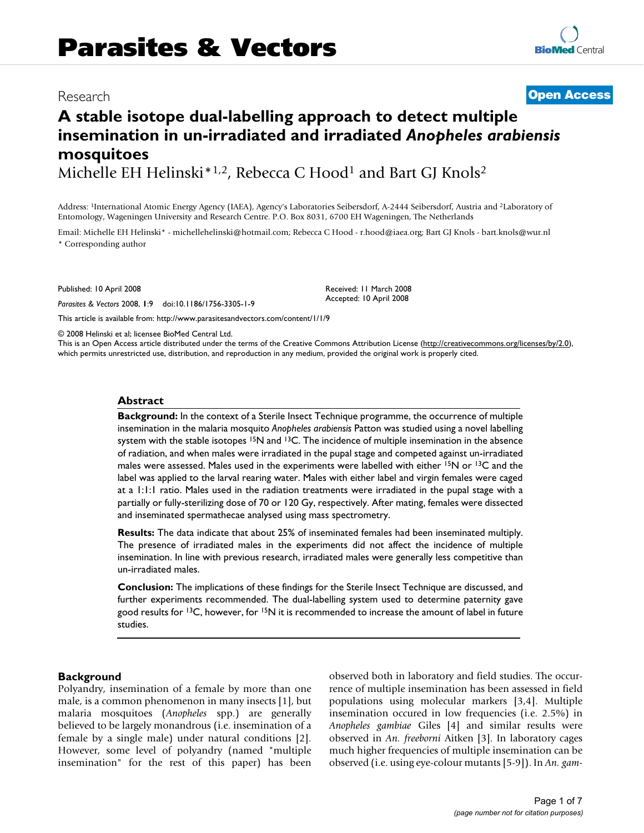## Research **[Open Access](http://www.biomedcentral.com/info/about/charter/)**

# **A stable isotope dual-labelling approach to detect multiple insemination in un-irradiated and irradiated** *Anopheles arabiensis*  **mosquitoes**

Michelle EH Helinski<sup>\*1,2</sup>, Rebecca C Hood<sup>1</sup> and Bart GJ Knols<sup>2</sup>

Address: 1International Atomic Energy Agency (IAEA), Agency's Laboratories Seibersdorf, A-2444 Seibersdorf, Austria and 2Laboratory of Entomology, Wageningen University and Research Centre. P.O. Box 8031, 6700 EH Wageningen, The Netherlands

Email: Michelle EH Helinski\* - michellehelinski@hotmail.com; Rebecca C Hood - r.hood@iaea.org; Bart GJ Knols - bart.knols@wur.nl \* Corresponding author

Published: 10 April 2008

*Parasites & Vectors* 2008, **1**:9 doi:10.1186/1756-3305-1-9

[This article is available from: http://www.parasitesandvectors.com/content/1/1/9](http://www.parasitesandvectors.com/content/1/1/9)

© 2008 Helinski et al; licensee BioMed Central Ltd.

This is an Open Access article distributed under the terms of the Creative Commons Attribution License [\(http://creativecommons.org/licenses/by/2.0\)](http://creativecommons.org/licenses/by/2.0), which permits unrestricted use, distribution, and reproduction in any medium, provided the original work is properly cited.

Received: 11 March 2008 Accepted: 10 April 2008

#### **Abstract**

**Background:** In the context of a Sterile Insect Technique programme, the occurrence of multiple insemination in the malaria mosquito *Anopheles arabiensis* Patton was studied using a novel labelling system with the stable isotopes  $15N$  and  $13C$ . The incidence of multiple insemination in the absence of radiation, and when males were irradiated in the pupal stage and competed against un-irradiated males were assessed. Males used in the experiments were labelled with either  $15N$  or  $13C$  and the label was applied to the larval rearing water. Males with either label and virgin females were caged at a 1:1:1 ratio. Males used in the radiation treatments were irradiated in the pupal stage with a partially or fully-sterilizing dose of 70 or 120 Gy, respectively. After mating, females were dissected and inseminated spermathecae analysed using mass spectrometry.

**Results:** The data indicate that about 25% of inseminated females had been inseminated multiply. The presence of irradiated males in the experiments did not affect the incidence of multiple insemination. In line with previous research, irradiated males were generally less competitive than un-irradiated males.

**Conclusion:** The implications of these findings for the Sterile Insect Technique are discussed, and further experiments recommended. The dual-labelling system used to determine paternity gave good results for  $13C$ , however, for  $15N$  it is recommended to increase the amount of label in future studies.

#### **Background**

Polyandry, insemination of a female by more than one male, is a common phenomenon in many insects [1], but malaria mosquitoes (*Anopheles* spp.) are generally believed to be largely monandrous (i.e. insemination of a female by a single male) under natural conditions [2]. However, some level of polyandry (named "multiple insemination" for the rest of this paper) has been observed both in laboratory and field studies. The occurrence of multiple insemination has been assessed in field populations using molecular markers [3[,4\]](#page-6-0). Multiple insemination occured in low frequencies (i.e. 2.5%) in *Anopheles gambiae* Giles [[4\]](#page-6-0) and similar results were observed in *An. freeborni* Aitken [3]. In laboratory cages much higher frequencies of multiple insemination can be observed (i.e. using eye-colour mutants [5-9]). In *An. gam-*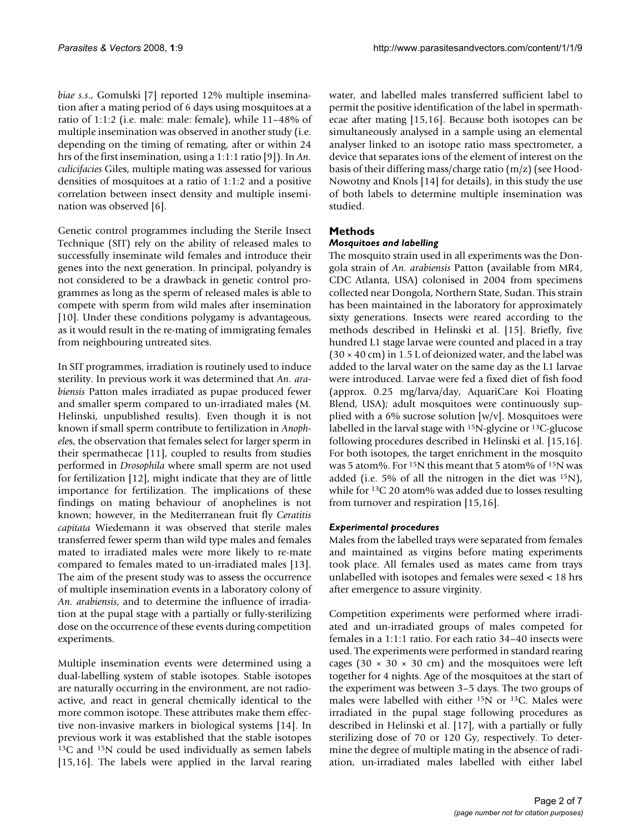*biae s.s*., Gomulski [7] reported 12% multiple insemination after a mating period of 6 days using mosquitoes at a ratio of 1:1:2 (i.e. male: male: female), while 11–48% of multiple insemination was observed in another study (i.e. depending on the timing of remating, after or within 24 hrs of the first insemination, using a 1:1:1 ratio [9]). In *An. culicifacies* Giles, multiple mating was assessed for various densities of mosquitoes at a ratio of 1:1:2 and a positive correlation between insect density and multiple insemination was observed [6].

Genetic control programmes including the Sterile Insect Technique (SIT) rely on the ability of released males to successfully inseminate wild females and introduce their genes into the next generation. In principal, polyandry is not considered to be a drawback in genetic control programmes as long as the sperm of released males is able to compete with sperm from wild males after insemination [10]. Under these conditions polygamy is advantageous, as it would result in the re-mating of immigrating females from neighbouring untreated sites.

In SIT programmes, irradiation is routinely used to induce sterility. In previous work it was determined that *An. arabiensis* Patton males irradiated as pupae produced fewer and smaller sperm compared to un-irradiated males (M. Helinski, unpublished results). Even though it is not known if small sperm contribute to fertilization in *Anophele*s, the observation that females select for larger sperm in their spermathecae [11], coupled to results from studies performed in *Drosophila* where small sperm are not used for fertilization [12], might indicate that they are of little importance for fertilization. The implications of these findings on mating behaviour of anophelines is not known; however, in the Mediterranean fruit fly *Ceratitis capitata* Wiedemann it was observed that sterile males transferred fewer sperm than wild type males and females mated to irradiated males were more likely to re-mate compared to females mated to un-irradiated males [13]. The aim of the present study was to assess the occurrence of multiple insemination events in a laboratory colony of *An. arabiensis*, and to determine the influence of irradiation at the pupal stage with a partially or fully-sterilizing dose on the occurrence of these events during competition experiments.

Multiple insemination events were determined using a dual-labelling system of stable isotopes. Stable isotopes are naturally occurring in the environment, are not radioactive, and react in general chemically identical to the more common isotope. These attributes make them effective non-invasive markers in biological systems [14]. In previous work it was established that the stable isotopes 13C and 15N could be used individually as semen labels [15,16]. The labels were applied in the larval rearing water, and labelled males transferred sufficient label to permit the positive identification of the label in spermathecae after mating [15,16]. Because both isotopes can be simultaneously analysed in a sample using an elemental analyser linked to an isotope ratio mass spectrometer, a device that separates ions of the element of interest on the basis of their differing mass/charge ratio (m/z) (see Hood-Nowotny and Knols [14] for details), in this study the use of both labels to determine multiple insemination was studied.

### **Methods**

#### *Mosquitoes and labelling*

The mosquito strain used in all experiments was the Dongola strain of *An. arabiensis* Patton (available from MR4, CDC Atlanta, USA) colonised in 2004 from specimens collected near Dongola, Northern State, Sudan. This strain has been maintained in the laboratory for approximately sixty generations. Insects were reared according to the methods described in Helinski et al. [15]. Briefly, five hundred L1 stage larvae were counted and placed in a tray  $(30 \times 40 \text{ cm})$  in 1.5 L of deionized water, and the label was added to the larval water on the same day as the L1 larvae were introduced. Larvae were fed a fixed diet of fish food (approx. 0.25 mg/larva/day, AquariCare Koi Floating Blend, USA); adult mosquitoes were continuously supplied with a 6% sucrose solution  $[w/v]$ . Mosquitoes were labelled in the larval stage with 15N-glycine or 13C-glucose following procedures described in Helinski et al. [15,16]. For both isotopes, the target enrichment in the mosquito was 5 atom%. For 15N this meant that 5 atom% of 15N was added (i.e. 5% of all the nitrogen in the diet was  $^{15}N$ ), while for <sup>13</sup>C 20 atom% was added due to losses resulting from turnover and respiration [15,16].

#### *Experimental procedures*

Males from the labelled trays were separated from females and maintained as virgins before mating experiments took place. All females used as mates came from trays unlabelled with isotopes and females were sexed < 18 hrs after emergence to assure virginity.

Competition experiments were performed where irradiated and un-irradiated groups of males competed for females in a 1:1:1 ratio. For each ratio 34–40 insects were used. The experiments were performed in standard rearing cages (30  $\times$  30  $\times$  30 cm) and the mosquitoes were left together for 4 nights. Age of the mosquitoes at the start of the experiment was between 3–5 days. The two groups of males were labelled with either 15N or 13C. Males were irradiated in the pupal stage following procedures as described in Helinski et al. [17], with a partially or fully sterilizing dose of 70 or 120 Gy, respectively. To determine the degree of multiple mating in the absence of radiation, un-irradiated males labelled with either label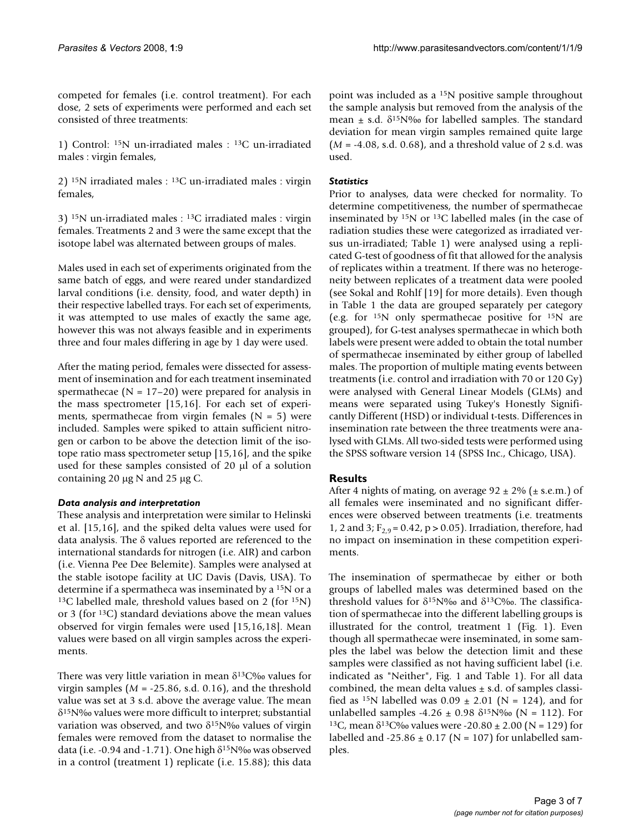competed for females (i.e. control treatment). For each dose, 2 sets of experiments were performed and each set consisted of three treatments:

1) Control: 15N un-irradiated males : 13C un-irradiated males : virgin females,

2) 15N irradiated males : 13C un-irradiated males : virgin females,

3) 15N un-irradiated males : 13C irradiated males : virgin females. Treatments 2 and 3 were the same except that the isotope label was alternated between groups of males.

Males used in each set of experiments originated from the same batch of eggs, and were reared under standardized larval conditions (i.e. density, food, and water depth) in their respective labelled trays. For each set of experiments, it was attempted to use males of exactly the same age, however this was not always feasible and in experiments three and four males differing in age by 1 day were used.

After the mating period, females were dissected for assessment of insemination and for each treatment inseminated spermathecae ( $N = 17-20$ ) were prepared for analysis in the mass spectrometer [15,16]. For each set of experiments, spermathecae from virgin females  $(N = 5)$  were included. Samples were spiked to attain sufficient nitrogen or carbon to be above the detection limit of the isotope ratio mass spectrometer setup [15,16], and the spike used for these samples consisted of 20 μl of a solution containing 20 μg N and 25 μg C.

#### *Data analysis and interpretation*

These analysis and interpretation were similar to Helinski et al. [15,16], and the spiked delta values were used for data analysis. The δ values reported are referenced to the international standards for nitrogen (i.e. AIR) and carbon (i.e. Vienna Pee Dee Belemite). Samples were analysed at the stable isotope facility at UC Davis (Davis, USA). To determine if a spermatheca was inseminated by a 15N or a <sup>13</sup>C labelled male, threshold values based on 2 (for  $^{15}N$ ) or 3 (for 13C) standard deviations above the mean values observed for virgin females were used [15,16,18]. Mean values were based on all virgin samples across the experiments.

There was very little variation in mean  $\delta^{13}C\%$  values for virgin samples ( $M = -25.86$ , s.d. 0.16), and the threshold value was set at 3 s.d. above the average value. The mean δ15N‰ values were more difficult to interpret; substantial variation was observed, and two  $\delta^{15}N\%$  values of virgin females were removed from the dataset to normalise the data (i.e. -0.94 and -1.71). One high  $\delta^{15}N\%$  was observed in a control (treatment 1) replicate (i.e. 15.88); this data

point was included as a 15N positive sample throughout the sample analysis but removed from the analysis of the mean  $\pm$  s.d.  $\delta^{15}N\%$  for labelled samples. The standard deviation for mean virgin samples remained quite large (*M* = -4.08, s.d. 0.68), and a threshold value of 2 s.d. was used.

#### *Statistics*

Prior to analyses, data were checked for normality. To determine competitiveness, the number of spermathecae inseminated by 15N or 13C labelled males (in the case of radiation studies these were categorized as irradiated versus un-irradiated; Table 1) were analysed using a replicated G-test of goodness of fit that allowed for the analysis of replicates within a treatment. If there was no heterogeneity between replicates of a treatment data were pooled (see Sokal and Rohlf [19] for more details). Even though in Table 1 the data are grouped separately per category (e.g. for  $15N$  only spermathecae positive for  $15N$  are grouped), for G-test analyses spermathecae in which both labels were present were added to obtain the total number of spermathecae inseminated by either group of labelled males. The proportion of multiple mating events between treatments (i.e. control and irradiation with 70 or 120 Gy) were analysed with General Linear Models (GLMs) and means were separated using Tukey's Honestly Significantly Different (HSD) or individual t-tests. Differences in insemination rate between the three treatments were analysed with GLMs. All two-sided tests were performed using the SPSS software version 14 (SPSS Inc., Chicago, USA).

#### **Results**

After 4 nights of mating, on average  $92 \pm 2\%$  ( $\pm$  s.e.m.) of all females were inseminated and no significant differences were observed between treatments (i.e. treatments 1, 2 and 3;  $F_{2,9} = 0.42$ ,  $p > 0.05$ ). Irradiation, therefore, had no impact on insemination in these competition experiments.

The insemination of spermathecae by either or both groups of labelled males was determined based on the threshold values for  $\delta^{15}N\%$  and  $\delta^{13}C\%$ . The classification of spermathecae into the different labelling groups is illustrated for the control, treatment 1 (Fig. 1). Even though all spermathecae were inseminated, in some samples the label was below the detection limit and these samples were classified as not having sufficient label (i.e. indicated as "Neither", Fig. 1 and Table 1). For all data combined, the mean delta values  $\pm$  s.d. of samples classified as <sup>15</sup>N labelled was  $0.09 \pm 2.01$  (N = 124), and for unlabelled samples -4.26  $\pm$  0.98  $\delta^{15}N\%$  (N = 112). For <sup>13</sup>C, mean δ<sup>13</sup>C‰ values were -20.80 ± 2.00 (N = 129) for labelled and -25.86  $\pm$  0.17 (N = 107) for unlabelled samples.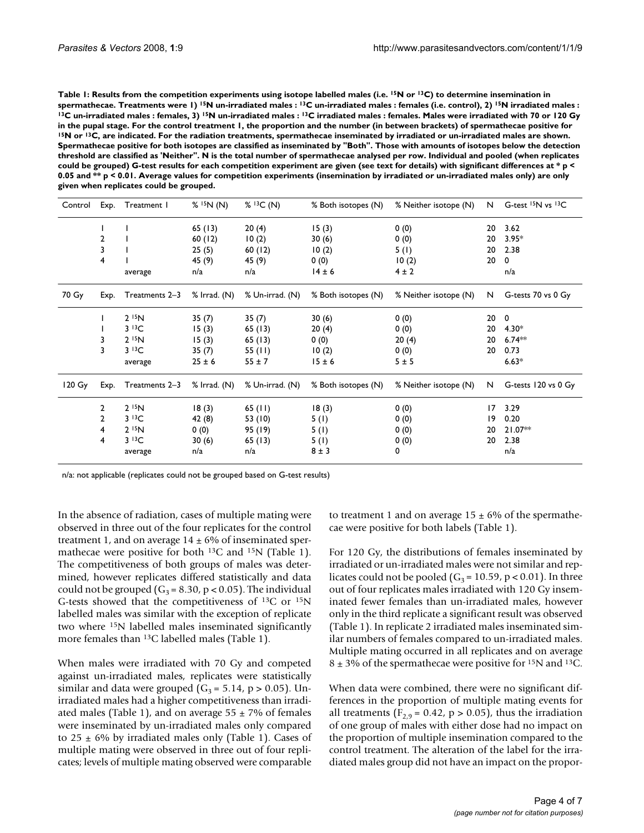Table 1: Results from the competition experiments using isotope labelled males (i.e. <sup>15</sup>N or <sup>13</sup>C) to determine insemination in spermathecae. Treatments were 1) <sup>15</sup>N un-irradiated males : <sup>13</sup>C un-irradiated males : females (i.e. control), 2) <sup>15</sup>N irradiated males :<br><sup>13</sup>C un-irradiated males : females, 3) <sup>15</sup>N un-irradiated males : <sup>13</sup>C irradia in the pupal stage. For the control treatment 1, the proportion and the number (in between brackets) of spermathecae positive for<br><sup>15</sup>N or <sup>13</sup>C, are indicated. For the radiation treatments, spermathecae inseminated by ir **Spermathecae positive for both isotopes are classified as inseminated by "Both". Those with amounts of isotopes below the detection threshold are classified as 'Neither". N is the total number of spermathecae analysed per row. Individual and pooled (when replicates could be grouped) G-test results for each competition experiment are given (see text for details) with significant differences at \* p < 0.05 and \*\* p < 0.01. Average values for competition experiments (insemination by irradiated or un-irradiated males only) are only given when replicates could be grouped.**

| Control          | Exp.           | Treatment 1       | % 15N(N)     | % 13C(N)        | % Both isotopes (N) | % Neither isotope (N) |    | N G-test <sup>15</sup> N vs <sup>13</sup> C |
|------------------|----------------|-------------------|--------------|-----------------|---------------------|-----------------------|----|---------------------------------------------|
|                  |                |                   | 65(13)       | 20(4)           | 15(3)               | 0(0)                  | 20 | 3.62                                        |
|                  | $\overline{2}$ |                   | 60(12)       | 10(2)           | 30(6)               | 0(0)                  | 20 | $3.95*$                                     |
|                  | 3              |                   | 25(5)        | 60(12)          | 10(2)               | 5(1)                  | 20 | 2.38                                        |
|                  | 4              |                   | 45 (9)       | 45 (9)          | 0(0)                | 10(2)                 | 20 | 0                                           |
|                  |                | average           | n/a          | n/a             | $14 \pm 6$          | $4 \pm 2$             |    | n/a                                         |
| 70 Gy            | Exp.           | Treatments 2-3    | % Irrad. (N) | % Un-irrad. (N) | % Both isotopes (N) | % Neither isotope (N) | N  | G-tests 70 vs 0 Gy                          |
|                  |                | 2 <sup>15</sup> N | 35(7)        | 35(7)           | 30(6)               | 0(0)                  | 20 | $\mathbf 0$                                 |
|                  |                | 313C              | 15(3)        | 65(13)          | 20(4)               | 0(0)                  | 20 | $4.30*$                                     |
|                  | 3              | $2^{15}N$         | 15(3)        | 65(13)          | 0(0)                | 20(4)                 | 20 | $6.74**$                                    |
|                  | 3              | 313C              | 35(7)        | 55 $(11)$       | 10(2)               | 0(0)                  | 20 | 0.73                                        |
|                  |                | average           | $25 \pm 6$   | $55 \pm 7$      | $15 \pm 6$          | 5±5                   |    | $6.63*$                                     |
| $120 \text{ Gy}$ | Exp.           | Treatments 2-3    | % Irrad. (N) | % Un-irrad. (N) | % Both isotopes (N) | % Neither isotope (N) | N  | G-tests 120 vs 0 Gy                         |
|                  | 2              | $2^{15}N$         | 18(3)        | $65$ (11)       | 18(3)               | 0(0)                  | 17 | 3.29                                        |
|                  | 2              | 313C              | 42 (8)       | 53 (10)         | 5(1)                | 0(0)                  | 19 | 0.20                                        |
|                  | 4              | $2^{15}N$         | 0(0)         | 95 (19)         | 5(1)                | 0(0)                  | 20 | $21.07**$                                   |
|                  | 4              | 313C              | 30(6)        | 65(13)          | 5(1)                | 0(0)                  | 20 | 2.38                                        |
|                  |                | average           | n/a          | n/a             | $8 \pm 3$           | 0                     |    | n/a                                         |

n/a: not applicable (replicates could not be grouped based on G-test results)

In the absence of radiation, cases of multiple mating were observed in three out of the four replicates for the control treatment 1, and on average  $14 \pm 6\%$  of inseminated spermathecae were positive for both <sup>13</sup>C and <sup>15</sup>N (Table 1). The competitiveness of both groups of males was determined, however replicates differed statistically and data could not be grouped ( $G_3 = 8.30$ , p < 0.05). The individual G-tests showed that the competitiveness of 13C or 15N labelled males was similar with the exception of replicate two where 15N labelled males inseminated significantly more females than 13C labelled males (Table 1).

When males were irradiated with 70 Gy and competed against un-irradiated males, replicates were statistically similar and data were grouped  $(G_3 = 5.14, p > 0.05)$ . Unirradiated males had a higher competitiveness than irradiated males (Table 1), and on average  $55 \pm 7\%$  of females were inseminated by un-irradiated males only compared to  $25 \pm 6\%$  by irradiated males only (Table 1). Cases of multiple mating were observed in three out of four replicates; levels of multiple mating observed were comparable to treatment 1 and on average  $15 \pm 6\%$  of the spermathecae were positive for both labels (Table 1).

For 120 Gy, the distributions of females inseminated by irradiated or un-irradiated males were not similar and replicates could not be pooled ( $G_3 = 10.59$ , p < 0.01). In three out of four replicates males irradiated with 120 Gy inseminated fewer females than un-irradiated males, however only in the third replicate a significant result was observed (Table 1). In replicate 2 irradiated males inseminated similar numbers of females compared to un-irradiated males. Multiple mating occurred in all replicates and on average  $8 \pm 3\%$  of the spermathecae were positive for <sup>15</sup>N and <sup>13</sup>C.

When data were combined, there were no significant differences in the proportion of multiple mating events for all treatments ( $F_{2,9}$  = 0.42, p > 0.05), thus the irradiation of one group of males with either dose had no impact on the proportion of multiple insemination compared to the control treatment. The alteration of the label for the irradiated males group did not have an impact on the propor-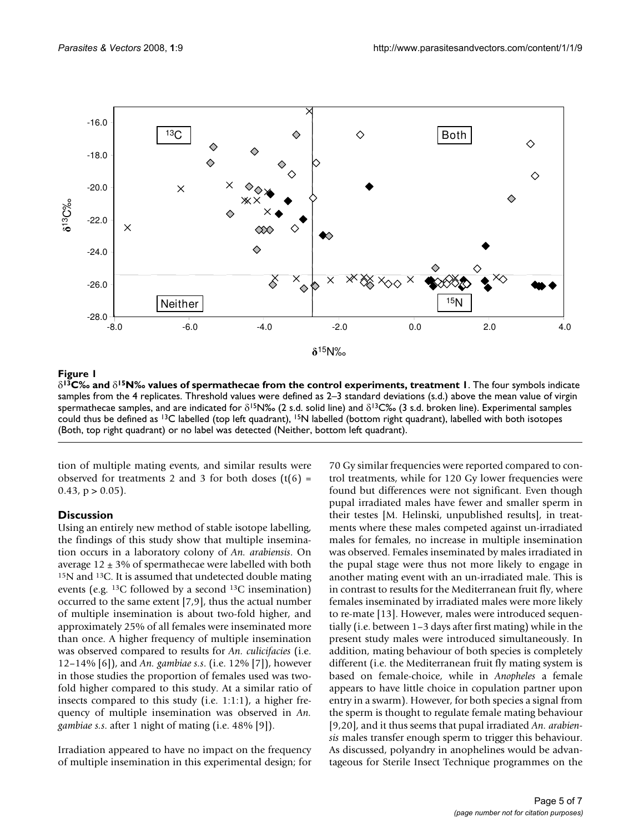

#### **Figure 1** 15N‰ values of specific of specific of specific of specific of specific of specific of specific of specific or specific of specific or specific or specific or specific or specific or specific or specific or spec

δ**13C‰ and** δ**15N‰ values of spermathecae from the control experiments, treatment 1**. The four symbols indicate samples from the 4 replicates. Threshold values were defined as 2–3 standard deviations (s.d.) above the mean value of virgin spermathecae samples, and are indicated for  $\delta^{15}N\%$  (2 s.d. solid line) and  $\delta^{13}C\%$  (3 s.d. broken line). Experimental samples could thus be defined as 13C labelled (top left quadrant), 15N labelled (bottom right quadrant), labelled with both isotopes (Both, top right quadrant) or no label was detected (Neither, bottom left quadrant).

tion of multiple mating events, and similar results were observed for treatments 2 and 3 for both doses  $(t(6) =$  $0.43$ ,  $p > 0.05$ ).

#### **Discussion**

Using an entirely new method of stable isotope labelling, the findings of this study show that multiple insemination occurs in a laboratory colony of *An. arabiensis*. On average  $12 \pm 3\%$  of spermathecae were labelled with both 15N and 13C. It is assumed that undetected double mating events (e.g. 13C followed by a second 13C insemination) occurred to the same extent [7,9], thus the actual number of multiple insemination is about two-fold higher, and approximately 25% of all females were inseminated more than once. A higher frequency of multiple insemination was observed compared to results for *An. culicifacies* (i.e. 12–14% [6]), and *An. gambiae s.s*. (i.e. 12% [7]), however in those studies the proportion of females used was twofold higher compared to this study. At a similar ratio of insects compared to this study (i.e. 1:1:1), a higher frequency of multiple insemination was observed in *An. gambiae s.s*. after 1 night of mating (i.e. 48% [9]).

Irradiation appeared to have no impact on the frequency of multiple insemination in this experimental design; for 70 Gy similar frequencies were reported compared to control treatments, while for 120 Gy lower frequencies were found but differences were not significant. Even though pupal irradiated males have fewer and smaller sperm in their testes [M. Helinski, unpublished results], in treatments where these males competed against un-irradiated males for females, no increase in multiple insemination was observed. Females inseminated by males irradiated in the pupal stage were thus not more likely to engage in another mating event with an un-irradiated male. This is in contrast to results for the Mediterranean fruit fly, where females inseminated by irradiated males were more likely to re-mate [13]. However, males were introduced sequentially (i.e. between 1–3 days after first mating) while in the present study males were introduced simultaneously. In addition, mating behaviour of both species is completely different (i.e. the Mediterranean fruit fly mating system is based on female-choice, while in *Anopheles* a female appears to have little choice in copulation partner upon entry in a swarm). However, for both species a signal from the sperm is thought to regulate female mating behaviour [9,20], and it thus seems that pupal irradiated *An. arabiensis* males transfer enough sperm to trigger this behaviour. As discussed, polyandry in anophelines would be advantageous for Sterile Insect Technique programmes on the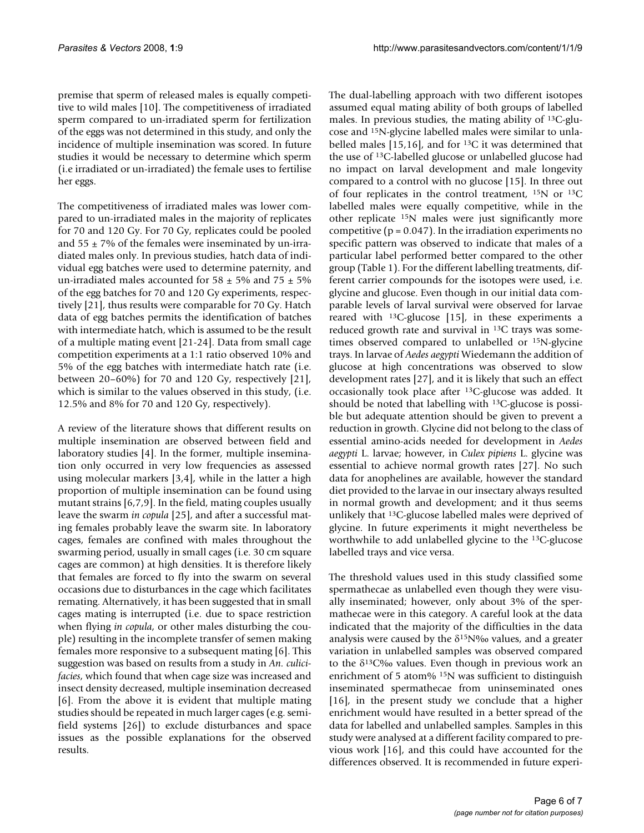premise that sperm of released males is equally competitive to wild males [10]. The competitiveness of irradiated sperm compared to un-irradiated sperm for fertilization of the eggs was not determined in this study, and only the incidence of multiple insemination was scored. In future studies it would be necessary to determine which sperm (i.e irradiated or un-irradiated) the female uses to fertilise her eggs.

The competitiveness of irradiated males was lower compared to un-irradiated males in the majority of replicates for 70 and 120 Gy. For 70 Gy, replicates could be pooled and  $55 \pm 7\%$  of the females were inseminated by un-irradiated males only. In previous studies, hatch data of individual egg batches were used to determine paternity, and un-irradiated males accounted for 58  $\pm$  5% and 75  $\pm$  5% of the egg batches for 70 and 120 Gy experiments, respectively [21], thus results were comparable for 70 Gy. Hatch data of egg batches permits the identification of batches with intermediate hatch, which is assumed to be the result of a multiple mating event [21-24]. Data from small cage competition experiments at a 1:1 ratio observed 10% and 5% of the egg batches with intermediate hatch rate (i.e. between 20–60%) for 70 and 120 Gy, respectively [21], which is similar to the values observed in this study, (i.e. 12.5% and 8% for 70 and 120 Gy, respectively).

A review of the literature shows that different results on multiple insemination are observed between field and laboratory studies [[4\]](#page-6-0). In the former, multiple insemination only occurred in very low frequencies as assessed using molecular markers [3,[4](#page-6-0)], while in the latter a high proportion of multiple insemination can be found using mutant strains [6,7,9]. In the field, mating couples usually leave the swarm *in copula* [25], and after a successful mating females probably leave the swarm site. In laboratory cages, females are confined with males throughout the swarming period, usually in small cages (i.e. 30 cm square cages are common) at high densities. It is therefore likely that females are forced to fly into the swarm on several occasions due to disturbances in the cage which facilitates remating. Alternatively, it has been suggested that in small cages mating is interrupted (i.e. due to space restriction when flying *in copula*, or other males disturbing the couple) resulting in the incomplete transfer of semen making females more responsive to a subsequent mating [6]. This suggestion was based on results from a study in *An. culicifacies*, which found that when cage size was increased and insect density decreased, multiple insemination decreased [6]. From the above it is evident that multiple mating studies should be repeated in much larger cages (e.g. semifield systems [26]) to exclude disturbances and space issues as the possible explanations for the observed results.

The dual-labelling approach with two different isotopes assumed equal mating ability of both groups of labelled males. In previous studies, the mating ability of 13C-glucose and 15N-glycine labelled males were similar to unlabelled males [15,16], and for 13C it was determined that the use of 13C-labelled glucose or unlabelled glucose had no impact on larval development and male longevity compared to a control with no glucose [15]. In three out of four replicates in the control treatment, 15N or 13C labelled males were equally competitive, while in the other replicate 15N males were just significantly more competitive ( $p = 0.047$ ). In the irradiation experiments no specific pattern was observed to indicate that males of a particular label performed better compared to the other group (Table 1). For the different labelling treatments, different carrier compounds for the isotopes were used, i.e. glycine and glucose. Even though in our initial data comparable levels of larval survival were observed for larvae reared with 13C-glucose [15], in these experiments a reduced growth rate and survival in 13C trays was sometimes observed compared to unlabelled or 15N-glycine trays. In larvae of *Aedes aegypti* Wiedemann the addition of glucose at high concentrations was observed to slow development rates [27], and it is likely that such an effect occasionally took place after 13C-glucose was added. It should be noted that labelling with 13C-glucose is possible but adequate attention should be given to prevent a reduction in growth. Glycine did not belong to the class of essential amino-acids needed for development in *Aedes aegypti* L. larvae; however, in *Culex pipiens* L. glycine was essential to achieve normal growth rates [27]. No such data for anophelines are available, however the standard diet provided to the larvae in our insectary always resulted in normal growth and development; and it thus seems unlikely that 13C-glucose labelled males were deprived of glycine. In future experiments it might nevertheless be worthwhile to add unlabelled glycine to the 13C-glucose labelled trays and vice versa.

The threshold values used in this study classified some spermathecae as unlabelled even though they were visually inseminated; however, only about 3% of the spermathecae were in this category. A careful look at the data indicated that the majority of the difficulties in the data analysis were caused by the  $\delta^{15}N\%$  values, and a greater variation in unlabelled samples was observed compared to the  $\delta^{13}$ C‰ values. Even though in previous work an enrichment of 5 atom% 15N was sufficient to distinguish inseminated spermathecae from uninseminated ones [16], in the present study we conclude that a higher enrichment would have resulted in a better spread of the data for labelled and unlabelled samples. Samples in this study were analysed at a different facility compared to previous work [16], and this could have accounted for the differences observed. It is recommended in future experi-